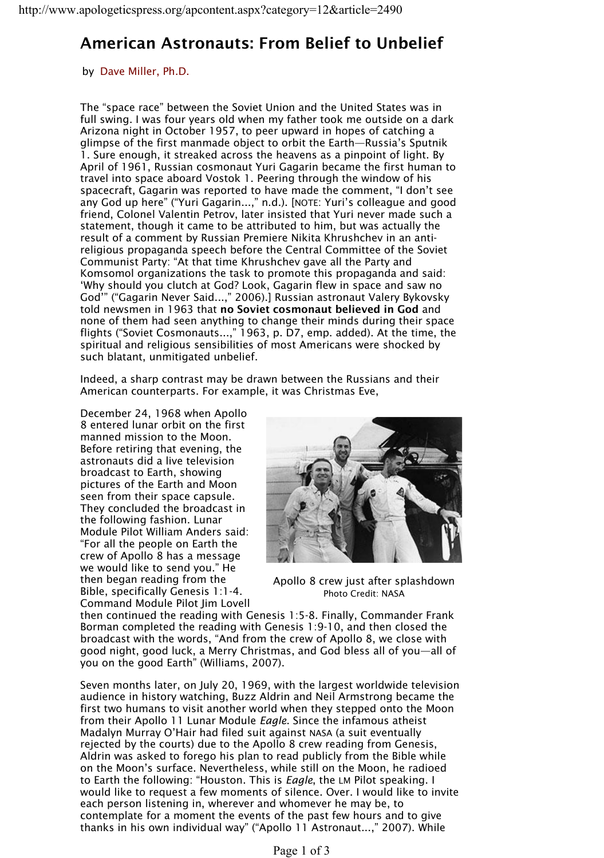## **American Astronauts: From Belief to Unbelief**

by Dave Miller, Ph.D.

The "space race" between the Soviet Union and the United States was in full swing. I was four years old when my father took me outside on a dark Arizona night in October 1957, to peer upward in hopes of catching a glimpse of the first manmade object to orbit the Earth—Russia's Sputnik 1. Sure enough, it streaked across the heavens as a pinpoint of light. By April of 1961, Russian cosmonaut Yuri Gagarin became the first human to travel into space aboard Vostok 1. Peering through the window of his spacecraft, Gagarin was reported to have made the comment, "I don't see any God up here" ("Yuri Gagarin...," n.d.). [NOTE: Yuri's colleague and good friend, Colonel Valentin Petrov, later insisted that Yuri never made such a statement, though it came to be attributed to him, but was actually the result of a comment by Russian Premiere Nikita Khrushchev in an antireligious propaganda speech before the Central Committee of the Soviet Communist Party: "At that time Khrushchev gave all the Party and Komsomol organizations the task to promote this propaganda and said: 'Why should you clutch at God? Look, Gagarin flew in space and saw no God'" ("Gagarin Never Said...," 2006).] Russian astronaut Valery Bykovsky told newsmen in 1963 that **no Soviet cosmonaut believed in God** and none of them had seen anything to change their minds during their space flights ("Soviet Cosmonauts...," 1963, p. D7, emp. added). At the time, the spiritual and religious sensibilities of most Americans were shocked by such blatant, unmitigated unbelief.

Indeed, a sharp contrast may be drawn between the Russians and their American counterparts. For example, it was Christmas Eve,

December 24, 1968 when Apollo 8 entered lunar orbit on the first manned mission to the Moon. Before retiring that evening, the astronauts did a live television broadcast to Earth, showing pictures of the Earth and Moon seen from their space capsule. They concluded the broadcast in the following fashion. Lunar Module Pilot William Anders said: "For all the people on Earth the crew of Apollo 8 has a message we would like to send you." He then began reading from the Bible, specifically Genesis 1:1-4. Command Module Pilot Jim Lovell



Apollo 8 crew just after splashdown Photo Credit: NASA

then continued the reading with Genesis 1:5-8. Finally, Commander Frank Borman completed the reading with Genesis 1:9-10, and then closed the broadcast with the words, "And from the crew of Apollo 8, we close with good night, good luck, a Merry Christmas, and God bless all of you—all of you on the good Earth" (Williams, 2007).

Seven months later, on July 20, 1969, with the largest worldwide television audience in history watching, Buzz Aldrin and Neil Armstrong became the first two humans to visit another world when they stepped onto the Moon from their Apollo 11 Lunar Module *Eagle*. Since the infamous atheist Madalyn Murray O'Hair had filed suit against NASA (a suit eventually rejected by the courts) due to the Apollo 8 crew reading from Genesis, Aldrin was asked to forego his plan to read publicly from the Bible while on the Moon's surface. Nevertheless, while still on the Moon, he radioed to Earth the following: "Houston. This is *Eagle*, the LM Pilot speaking. I would like to request a few moments of silence. Over. I would like to invite each person listening in, wherever and whomever he may be, to contemplate for a moment the events of the past few hours and to give thanks in his own individual way" ("Apollo 11 Astronaut...," 2007). While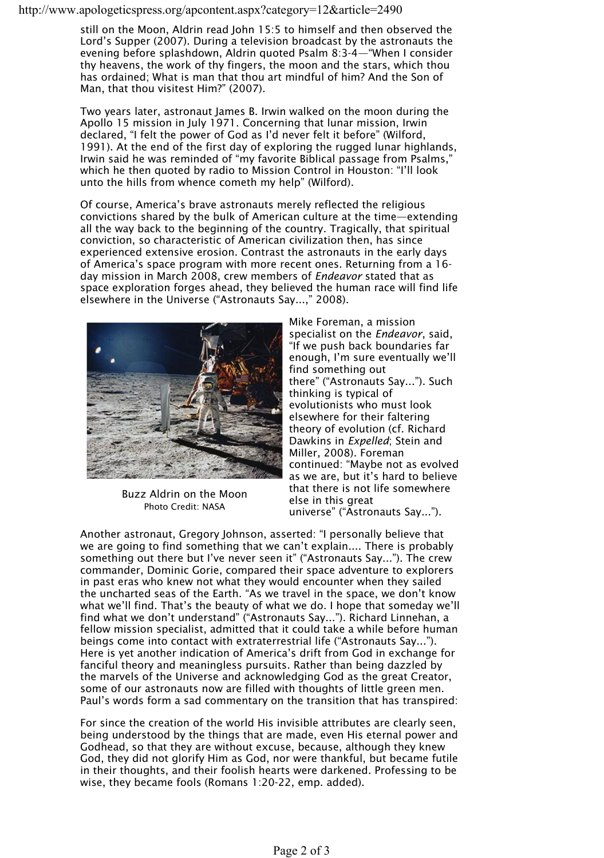http://www.apologeticspress.org/apcontent.aspx?category=12&article=2490

still on the Moon, Aldrin read John 15:5 to himself and then observed the Lord's Supper (2007). During a television broadcast by the astronauts the evening before splashdown, Aldrin quoted Psalm 8:3-4—"When I consider thy heavens, the work of thy fingers, the moon and the stars, which thou has ordained; What is man that thou art mindful of him? And the Son of Man, that thou visitest Him?" (2007).

Two years later, astronaut lames B. Irwin walked on the moon during the Apollo 15 mission in July 1971. Concerning that lunar mission, Irwin declared, "I felt the power of God as I'd never felt it before" (Wilford, 1991). At the end of the first day of exploring the rugged lunar highlands, Irwin said he was reminded of "my favorite Biblical passage from Psalms," which he then quoted by radio to Mission Control in Houston: "I'll look unto the hills from whence cometh my help" (Wilford).

Of course, America's brave astronauts merely reflected the religious convictions shared by the bulk of American culture at the time—extending all the way back to the beginning of the country. Tragically, that spiritual conviction, so characteristic of American civilization then, has since experienced extensive erosion. Contrast the astronauts in the early days of America's space program with more recent ones. Returning from a 16 day mission in March 2008, crew members of *Endeavor* stated that as space exploration forges ahead, they believed the human race will find life elsewhere in the Universe ("Astronauts Say...," 2008).



Buzz Aldrin on the Moon Photo Credit: NASA

Mike Foreman, a mission specialist on the *Endeavor*, said, "If we push back boundaries far enough, I'm sure eventually we'll find something out there" ("Astronauts Say..."). Such thinking is typical of evolutionists who must look elsewhere for their faltering theory of evolution (cf. Richard Dawkins in *Expelled*; Stein and Miller, 2008). Foreman continued: "Maybe not as evolved as we are, but it's hard to believe that there is not life somewhere else in this great universe" ("Astronauts Say...").

Another astronaut, Gregory Johnson, asserted: "I personally believe that we are going to find something that we can't explain.... There is probably something out there but I've never seen it" ("Astronauts Say..."). The crew commander, Dominic Gorie, compared their space adventure to explorers in past eras who knew not what they would encounter when they sailed the uncharted seas of the Earth. "As we travel in the space, we don't know what we'll find. That's the beauty of what we do. I hope that someday we'll find what we don't understand" ("Astronauts Say..."). Richard Linnehan, a fellow mission specialist, admitted that it could take a while before human beings come into contact with extraterrestrial life ("Astronauts Say..."). Here is yet another indication of America's drift from God in exchange for fanciful theory and meaningless pursuits. Rather than being dazzled by the marvels of the Universe and acknowledging God as the great Creator, some of our astronauts now are filled with thoughts of little green men. Paul's words form a sad commentary on the transition that has transpired:

For since the creation of the world His invisible attributes are clearly seen, being understood by the things that are made, even His eternal power and Godhead, so that they are without excuse, because, although they knew God, they did not glorify Him as God, nor were thankful, but became futile in their thoughts, and their foolish hearts were darkened. Professing to be wise, they became fools (Romans 1:20-22, emp. added).